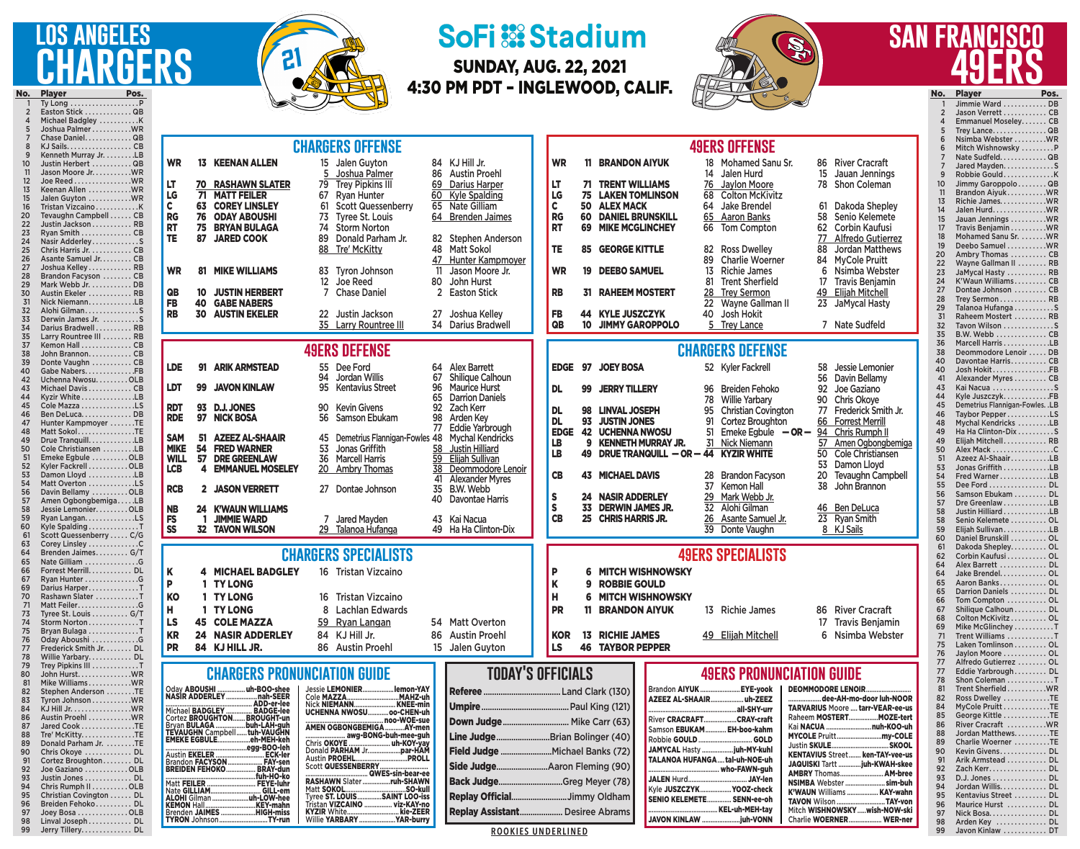## **lgeles CHARGERS o. Player Pos.**<br>1 Tv Long . . . . . . . . . . . . . . . . . . P

 Breiden Fehoko . . . . . . . . . . DL Joey Bosa . . . . . . . . . . . . . OLB Linval Joseph . . . . . . . . . . . . DL Jerry Tillery . . . . . . . . . . . . . . DL



## **SoFi :: Stadium**

SUNDAY, AUG. 22, 2021 4:30 PM PDT – INGLEWOOD, CALIF.



## **san francisco 49ers**

No. Player Pos.<br>1 limmie Ward DR

97 Nick Bosa................ DL 98 Arden Key . . . . . . . . . . . . DL<br>99 Javon Kinlaw . . . . . . . . . . DT Javon Kinlaw . . . . . . . . . . . DT

|     | Ty Long $\dots\dots\dots\dots\dots\dots P$  |                                                                                                                                                                              |                                                                                                                          | Jimmie Ward  DB                                    |
|-----|---------------------------------------------|------------------------------------------------------------------------------------------------------------------------------------------------------------------------------|--------------------------------------------------------------------------------------------------------------------------|----------------------------------------------------|
|     | Easton Stick  QB                            |                                                                                                                                                                              |                                                                                                                          | Jason Verrett  CB                                  |
|     | Michael Badgley K                           |                                                                                                                                                                              |                                                                                                                          | Emmanuel Moseley CB                                |
|     | Joshua Palmer  WR                           |                                                                                                                                                                              |                                                                                                                          | Trey LanceQB                                       |
|     | Chase Daniel QB<br>KJ Sails. CB             | <b>CHARGERS OFFENSE</b>                                                                                                                                                      | <b>49ERS OFFENSE</b>                                                                                                     | Nsimba Webster WR                                  |
|     | Kenneth Murray Jr. LB                       |                                                                                                                                                                              |                                                                                                                          | Mitch Wishnowsky P                                 |
|     | Justin Herbert  QB                          | <b>WR</b><br><b>13 KEENAN ALLEN</b><br>15 Jalen Guyton<br>84 KJ Hill Jr.                                                                                                     | <b>WR</b><br><b>BRANDON AIYUK</b><br>18 Mohamed Sanu Sr.<br>86 River Cracraft<br>11.                                     | Nate Sudfeld. QB<br>Jared MaydenS                  |
|     | Jason Moore JrWR                            | 5 Joshua Palmer<br>86 Austin Proehl                                                                                                                                          | 14 Jalen Hurd<br>15 Jauan Jennings                                                                                       | Robbie GouldK<br>9                                 |
|     | Joe Reed $\dots\dots\dots\dots\dots$        | LT.                                                                                                                                                                          |                                                                                                                          | 10 <sup>°</sup><br>Jimmy Garoppolo QB              |
|     | Keenan Allen WR                             | 79 Trey Pipkins III<br><b>70 RASHAWN SLATER</b><br>l LT<br>69 Darius Harper                                                                                                  | <b>71 TRENT WILLIAMS</b><br>76 Jaylon Moore<br>78 Shon Coleman                                                           | Brandon AiyukWR<br>11                              |
|     | Jalen Guyton WR                             | LG<br><b>71 MATT FEILER</b><br>67 Ryan Hunter<br>60 Kyle Spalding                                                                                                            | <b>LG</b><br><b>75 LAKEN TOMLINSON</b><br>68 Colton McKivitz                                                             | 13<br>Richie JamesWR                               |
|     | Tristan VizcainoK                           | $\mathbf c$<br><b>63 COREY LINSLEY</b><br>61 Scott Quessenberry<br>65 Nate Gilliam<br>$\mathbf c$                                                                            | <b>50 ALEX MACK</b><br>64 Jake Brendel<br>61<br>Dakoda Shepley                                                           | 14<br>Jalen Hurd. WR                               |
|     | Tevaughn Campbell  CB                       | <b>RG</b><br><b>76 ODAY ABOUSHI</b><br>73 Tyree St. Louis<br>64 Brenden Jaimes                                                                                               | <b>RG</b><br><b>60 DANIEL BRUNSKILL</b><br>65 Aaron Banks<br>Senio Kelemete<br>58                                        | 15<br>Jauan Jennings WR                            |
|     | Justin Jackson RB                           | <b>RT</b><br>75 BRYAN BULAGA<br><b>Storm Norton</b><br>74                                                                                                                    | <b>RT</b><br><b>69 MIKE MCGLINCHEY</b><br><b>Corbin Kaufusi</b><br>66 Tom Compton<br>62.                                 | Travis Benjamin WR<br>17                           |
| 23. | Ryan Smith CB                               | TE.<br>89 Donald Parham Jr.<br>87 JARED COOK<br>82 Stephen Anderson                                                                                                          | 77<br>Alfredo Gutierrez                                                                                                  | Mohamed Sanu Sr. WR<br>18                          |
|     | Nasir AdderleyS                             | 48 Matt Sokol<br>88 Tre' McKitty                                                                                                                                             | TE<br><b>85 GEORGE KITTLE</b><br>Jordan Matthews<br>82 Ross Dwelley<br>88                                                | 19<br>Deebo Samuel WR                              |
|     | Chris Harris Jr. CB<br>Asante Samuel Jr. CB |                                                                                                                                                                              |                                                                                                                          | 20<br>Ambry Thomas  CB                             |
|     | Joshua Kelley RB                            | 47 Hunter Kampmoyer                                                                                                                                                          | <b>Charlie Woerner</b><br><b>MyCole Pruitt</b><br>84<br>89.                                                              | Wayne Gallman II  RB<br>22                         |
|     | Brandon Facyson  CB                         | Jason Moore Jr.<br><b>WR</b><br><b>81 MIKE WILLIAMS</b><br>83<br>Tvron Johnson<br>11                                                                                         | 13 Richie James<br><b>WR</b><br><b>DEEBO SAMUEL</b><br>6<br>Nsimba Webster<br>19                                         | 23<br>JaMycal Hasty  RB                            |
| 29. | Mark Webb Jr. DB                            | 80 John Hurst<br>12 Joe Reed                                                                                                                                                 | <b>Trent Sherfield</b><br>81<br>17<br>Travis Benjamin                                                                    | K'Waun Williams CB<br>24                           |
|     | Austin Ekeler  RB                           | <b>10 JUSTIN HERBERT</b><br><b>Chase Daniel</b><br>2 Easton Stick<br>QB                                                                                                      | <b>RAHEEM MOSTERT</b><br>49<br>Elijah Mitchell<br>28 Trey Sermon<br>RB<br>31                                             | 27<br>Dontae Johnson  CB                           |
|     | Nick NiemannLB                              | <b>FB</b><br><b>40 GABE NABERS</b>                                                                                                                                           | 22 Wayne Gallman II<br>23<br>JaMycal Hasty                                                                               | 28<br>Trey Sermon RB                               |
|     | Alohi GilmanS                               | <b>RB</b><br><b>30 AUSTIN EKELER</b><br>22 Justin Jackson<br>27 Joshua Kelley                                                                                                | FB<br><b>44 KYLE JUSZCZYK</b><br>40 Josh Hokit                                                                           | 29<br>Talanoa Hufanga S                            |
|     | Derwin James Jr. S                          | 35 Larry Rountree III<br>34 Darius Bradwell                                                                                                                                  | QB<br>10 JIMMY GAROPPOLO<br>5 Trey Lance<br>7 Nate Sudfeld                                                               | 31<br>Raheem Mostert  RB<br>32<br>Tavon Wilson S   |
|     | Darius Bradwell RB                          |                                                                                                                                                                              |                                                                                                                          | 35<br>B.W. Webb  CB                                |
|     | Larry Rountree III  RB                      |                                                                                                                                                                              |                                                                                                                          | 36<br>Marcell Harris LB                            |
|     | Kemon Hall  CB                              | <b>49ERS DEFENSE</b>                                                                                                                                                         | <b>CHARGERS DEFENSE</b>                                                                                                  | Deommodore Lenoir  DB<br>38                        |
|     | John BrannonCB<br>Donte Vaughn CB           |                                                                                                                                                                              |                                                                                                                          | 40<br>Davontae HarrisCB                            |
|     | Gabe NabersFB                               | <b>LDE</b><br>91 ARIK ARMSTEAD<br>55 Dee Ford<br>64 Alex Barrett                                                                                                             | EDGE 97 JOEY BOSA<br>52 Kyler Fackrell<br>58 Jessie Lemonier                                                             | Josh HokitFB<br>40                                 |
|     | Uchenna NwosuOLB                            | 94<br>Jordan Willis<br>Shilique Calhoun<br>67                                                                                                                                | 56<br>Davin Bellamy                                                                                                      | Alexander Myres  CB<br>41                          |
|     | Michael DavisCB                             | 99 JAVON KINLAW<br>LDT<br>95<br><b>Kentavius Street</b><br>96.<br><b>Maurice Hurst</b>                                                                                       | <b>JERRY TILLERY</b><br>Joe Gaziano<br>99<br>96 Breiden Fehoko<br>92<br>DL.                                              | 43<br>Kai Nacua S                                  |
|     | Kyzir White LB                              | 65<br><b>Darrion Daniels</b>                                                                                                                                                 | <b>Willie Yarbary</b><br>90<br><b>Chris Okoye</b><br>78                                                                  | 44<br>Kyle JuszczykFB                              |
|     | Cole Mazza LS                               | 93 D.J. JONES<br><b>Kevin Givens</b><br>Zach Kerr<br><b>RDT</b><br>90<br>92.                                                                                                 |                                                                                                                          | Demetrius Flannigan-Fowles. .LB<br>45              |
|     | Ben DeLuca DB                               | <b>RDE</b><br>97 NICK BOSA<br>56<br>Arden Key<br>Samson Ebukam<br>98                                                                                                         | <b>DL</b><br>98 LINVAL JOSEPH<br><b>Christian Covington</b><br>Frederick Smith Jr.<br>95<br>77                           | 46<br>Taybor PepperLS                              |
|     | Hunter Kampmoyer TE                         | Eddie Yarbrough<br>77                                                                                                                                                        | <b>DL</b><br>93 JUSTIN JONES<br><b>Cortez Broughton</b><br>66 Forrest Merrill<br>91                                      | Mychal Kendricks LB<br>48                          |
|     | Matt SokolTE                                | <b>SAM</b><br><b>AZEEZ AL-SHAAIR</b><br>Demetrius Flannigan-Fowles 48 Mychal Kendricks<br>51<br>45                                                                           | <b>EDGE</b><br><b>42 UCHENNA NWOSU</b><br>Emeke Egbule $-$ OR $-$ 94 Chris Rumph II<br>51                                | Ha Ha Clinton-Dix S<br>49                          |
|     | Drue TranquillLB                            | Jonas Griffith<br><b>54 FRED WARNER</b><br>53<br>58 Justin Hilliard<br><b>MIKE</b>                                                                                           | LB<br>9 KENNETH MURRAY JR.<br>31 Nick Niemann<br>57 Amen Ogbongbemiga                                                    | Elijah Mitchell RB<br>49                           |
|     | Cole Christiansen LB                        |                                                                                                                                                                              | LB<br><b>Cole Christiansen</b><br>49 DRUE TRANQUILL - OR - 44 KYZIR WHITE<br>50.                                         | Alex Mack C<br>50                                  |
|     | Emeke Egbule OLB<br>Kyler Fackrell OLB      | <b>WILL</b><br>57 DRE GREENLAW<br>36<br><b>Marcell Harris</b><br>59 Elijah Sullivan                                                                                          | 53<br>Damon Lloyd                                                                                                        | 51<br>Azeez Al-ShaairLB<br>Jonas Griffith LB       |
|     | Damon Lloyd LB                              | <b>LCB</b><br><b>EMMANUEL MOSELEY</b><br>20 Ambry Thomas<br>38 Deommodore Lenoir<br>4                                                                                        | <b>CB</b><br><b>43 MICHAEL DAVIS</b><br>20 Tevaughn Campbell<br>28 Brandon Facyson                                       | 53<br>54<br>Fred Warner LB                         |
|     | Matt Overton LS                             | <b>Alexander Myres</b><br>41                                                                                                                                                 |                                                                                                                          | 55<br>Dee Ford  DL                                 |
|     | Davin Bellamy OLB                           | 35 B.W. Webb<br>2 JASON VERRETT<br><b>RCB</b><br>27 Dontae Johnson                                                                                                           | <b>Kemon Hall</b><br>38<br>John Brannon<br>37                                                                            | 56<br>Samson Ebukam  DL                            |
|     | Amen OgbongbemigaLB                         | S<br><b>Davontae Harris</b><br>40                                                                                                                                            | <b>24 NASIR ADDERLEY</b><br>29 Mark Webb Jr.                                                                             | 57<br>Dre Greenlaw LB                              |
|     | Jessie Lemonier. OLB                        | <b>NB</b><br><b>24 K'WAUN WILLIAMS</b>                                                                                                                                       | 33<br><b>DERWIN JAMES JR.</b><br>32 Alohi Gilman<br>46 Ben DeLuca                                                        | 58<br>Justin Hilliard LB                           |
|     | Ryan LanganLS                               | <b>FS</b><br><b>JIMMIE WARD</b><br>Jared Mayden<br>43 Kai Nacua                                                                                                              | CB<br>25 CHRIS HARRIS JR.<br><b>Ryan Smith</b><br>26 Asante Samuel Jr.<br>23                                             | 58<br>Senio Kelemete  OL                           |
|     | Kyle Spalding T                             | <b>SS</b><br><b>32 TAVON WILSON</b><br>29 Talanoa Hufanga<br>49 Ha Ha Clinton-Dix                                                                                            | 39 Donte Vaughn<br>8 KJ Sails                                                                                            | 59<br>Elijah SullivanLB                            |
|     | Scott Quessenberry  C/G                     |                                                                                                                                                                              |                                                                                                                          | 60<br>Daniel Brunskill  OL                         |
|     | Corey Linsley C                             |                                                                                                                                                                              |                                                                                                                          | 61<br>Dakoda Shepley OL                            |
|     | Brenden Jaimes G/T<br>Nate Gilliam G        | <b>CHARGERS SPECIALISTS</b>                                                                                                                                                  | <b>49ERS SPECIALISTS</b>                                                                                                 | Corbin Kaufusi OL<br>62                            |
|     | Forrest Merrill DL                          | Κ<br><b>4 MICHAEL BADGLEY</b><br>16 Tristan Vizcaino                                                                                                                         | <b>6 MITCH WISHNOWSKY</b>                                                                                                | Alex Barrett  DL<br>64                             |
|     | Ryan Hunter G                               |                                                                                                                                                                              |                                                                                                                          | 64<br>Jake Brendel OL                              |
| 59  | Darius HarperT                              | 1 TY LONG<br>P                                                                                                                                                               | 9 ROBBIE GOULD                                                                                                           | Aaron Banks OL<br>65                               |
| 70. | Rashawn Slater T                            | KO<br>1 TY LONG<br>16 Tristan Vizcaino                                                                                                                                       | <b>6 MITCH WISHNOWSKY</b>                                                                                                | 65<br>Darrion Daniels  DL<br>66<br>Tom Compton  OL |
|     | Matt FeilerG                                | н<br>1 TY LONG<br>8 Lachlan Edwards                                                                                                                                          | <b>PR</b><br><b>11 BRANDON AIYUK</b><br>13 Richie James<br>86 River Cracraft                                             | Shilique Calhoun DL<br>67                          |
|     | Tyree St. Louis $\ldots \ldots \ldots$ G/T  |                                                                                                                                                                              |                                                                                                                          | 68<br>Colton McKivitz OL                           |
|     | Storm Norton T                              | LS<br><b>45 COLE MAZZA</b><br>59 Ryan Langan<br>54 Matt Overton                                                                                                              | 17<br>Travis Benjamin                                                                                                    | Mike McGlinchey T<br>69                            |
|     | Bryan Bulaga T<br>Oday Aboushi G            | <b>KR</b><br>84 KJ Hill Jr.<br><b>24 NASIR ADDERLEY</b><br>86 Austin Proehl                                                                                                  | <b>13 RICHIE JAMES</b><br>49 Elijah Mitchell<br>6 Nsimba Webster<br><b>KOR</b>                                           | Trent Williams T<br>71                             |
|     | Frederick Smith Jr. DL                      | <b>PR</b><br>84 KJ HILL JR.<br>86 Austin Proehl<br>15 Jalen Guyton                                                                                                           | <b>46 TAYBOR PEPPER</b><br>LS                                                                                            | Laken Tomlinson  OL<br>75                          |
|     | Willie Yarbary DL                           |                                                                                                                                                                              |                                                                                                                          | Jaylon Moore  OL<br>76                             |
| 79  | Trey Pipkins III T                          |                                                                                                                                                                              |                                                                                                                          | Alfredo Gutierrez  OL<br>77                        |
|     | John HurstWR                                | <b>TODAY'S OFFICIALS</b><br><b>CHARGERS PRONUNCIATION GUIDE</b>                                                                                                              | <b>49ERS PRONUNCIATION GUIDE</b>                                                                                         | Eddie Yarbrough DL<br>77                           |
| 81  | Mike WilliamsWR                             |                                                                                                                                                                              |                                                                                                                          | Shon Coleman T<br>78                               |
|     | Stephen Anderson TE                         | uh-BOO-shee<br><b>Jessie LEMONIER</b><br>Oday <b>ABOUSHI</b><br>lemon-YAY<br><b>Referee</b><br>nah-SEER<br>.MAHZ-uh<br>NASIR ADDERLEY<br>Cole MAZZA                          | Brandon AIYUK<br>.EYE-yook<br><b>DEOMMODORE LENOIR.</b><br>Land Clark (130)                                              | Trent SherfieldWR<br>81                            |
|     | Tyron Johnson WR                            | <b>ADD-er-lee</b><br><b>Nick NIEMANN</b><br>.KNEE-min                                                                                                                        | <b>AZEEZ AL-SHAAIR.</b><br>uh-ZEEZ<br>dee-AH-mo-door luh-NOOR                                                            | Ross Dwelley TE<br>82                              |
|     | KJ Hill Jr. WR                              | Umpire.<br>Michael <b>BADGLEY</b><br><b>BADGE-lee</b><br>oo-CHEN-uh<br><b>UCHENNA NWOSU.</b>                                                                                 | Paul King (121)<br><b>TARVARIUS Moore  tarr-VEAR-ee-us</b><br>.all-SHY-urr                                               | 84<br>MyCole Pruitt TE<br>George Kittle TE<br>85   |
|     | Austin Proehl WR                            | <b>Cortez BROUGHTON.</b><br><b>BROUGHT-un</b><br>noo-WOE-sue<br>Down Judge                                                                                                   | Raheem MOSTERT.<br><b>MOZE-tert</b><br>River CRACRAFT.<br>.CRAY-craft<br>Mike Carr (63)                                  | River Cracraft WR<br>86                            |
|     | Jared Cook TE                               | buh-LAH-guh<br>.tuh-VAUGHN<br>Bryan BULAGA<br>AMEN OGBONGBEMIGA.<br>AY-men<br><b>TEVAUGHN</b> Campbell                                                                       | nuh-KOO-uh<br>Kai <b>NACUA</b> .<br>Samson EBUKAM.<br><b>EH-boo-kahm</b>                                                 | Jordan MatthewsTE<br>88                            |
|     | Tre' McKittyTE<br>Donald Parham Jr. TE      | awg-BONG-buh-mee-guh<br>Line Judge.<br><b>EMEKE EGBULE.</b><br>.eh-MEH-keh<br>.uh-KOY-yay<br>Chris OKOYE.                                                                    | .Brian Bolinger (40)<br><b>MYCOLE Pruitt.</b><br>.my-COLE<br>Robbie GOULD.<br><b>GOLD</b>                                | Charlie Woerner TE<br>89                           |
| 90  | Chris Okoye  DL                             | egg-BOO-leh<br>ECK-ler<br>par-HAM<br><b>Field Judge</b>                                                                                                                      | Justin SKULE.<br>.SKOOL<br>JAMYCAL Hasty.<br>.juh-MY-kuhl<br>Michael Banks (72)                                          | Kevin Givens DL<br>90                              |
|     | Cortez Broughton DL                         | Donald PARHAM Jr.<br>Austin PROEHL<br><b>Austin EKELER</b><br>Brandon <b>FACYSON</b><br>.PROLL<br>. FAY-sen                                                                  | <b>KENTAVIUS Street</b><br>. ken-TAY-vee-us<br>TALANOA HUFANGAtal-uh-NOE-uh                                              | Arik Armstead  DL<br>91                            |
|     | Joe Gaziano OLB                             | Scott QUESSENBERRY.<br>Side Judge.<br><b>BREIDEN FEHOKO</b><br><b>BRAY-dun</b><br>. QWES-sin-bear-ee                                                                         | <b>JAQUISKI Tartt</b><br>.juh-KWAH-skee<br>.Aaron Fleming (90)<br>who-FAWN-guh<br><b>AM-bree</b><br><b>AMBRY Thomas.</b> | Zach Kerr DL<br>92                                 |
|     | Justin Jones  DL                            | fuh-HO-ko<br>. FEYE-luhr<br>ruh-SHAWN<br><b>Back Judge.</b><br><b>RASHAWN Slater</b>                                                                                         | <b>JALEN Hurd.</b><br>JAY-len<br>.Greg Meyer (78)<br><b>NSIMBA</b> Webster<br>. sim-buh                                  | 93<br>D.J. Jones DL                                |
|     | Chris Rumph IIOLB                           | Matt FEILER<br>Matt SOKOL<br>.SO-kull<br>GILL-em                                                                                                                             | Kyle JUSZCZYK.<br>.YOOZ-check<br><b>K'WAUN</b> Williams<br>KAY-wahn                                                      | Jordan Willis. DL<br>94                            |
|     | Christian Covington  DL                     | <b>Replay Official</b><br><b>SAINT LOO-iss</b><br>Tyree ST. LOUIS<br><b>ALOHI</b> Gilman<br>uh-LOW-hee                                                                       | Jimmy Oldham<br><b>SENIO KELEMETE.</b><br>. SENN-ee-oh<br>.TAY-von<br><b>TAVON</b> Wilson                                | Kentavius Street  DL<br>95                         |
|     | Breiden Fehoko DL                           | Tristan VIZCAINO<br>viz-KAY-no<br><b>KEMON Hall</b><br>.KEY-mahn                                                                                                             | KEL-uh-MEH-tay<br>Mitch WISHNOWSKY  wish-NOW-ski                                                                         | 96<br>Maurice Hurst  DL                            |
| 98. | Joey Bosa OLB<br>Linval Joseph              | <b>Replay Assistant</b><br>.HIGH-miss<br><b>KYZIR White.</b><br>. kie-ZEER<br><b>Brenden JAIMES</b><br>TY-run<br>.YAR-burry<br><b>TYRON</b> Johnson<br><b>Willie YARBARY</b> | . Desiree Abrams<br>.juh-VONN<br>JAVON KINLAW<br><b>Charlie WOERNER.</b><br><b>WER-ner</b>                               | Nick Bosa DL<br>97<br>98<br>Arden Key              |
|     |                                             |                                                                                                                                                                              |                                                                                                                          |                                                    |

**ROOKIES UNDERLINED**